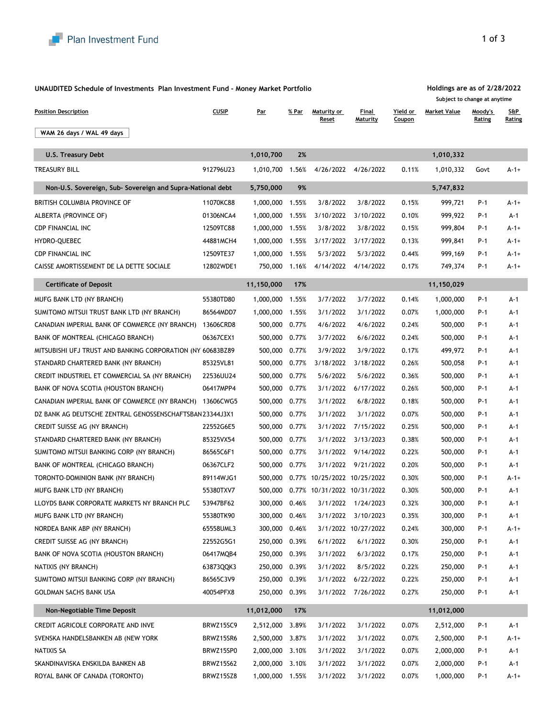

## **UNAUDITED Schedule of Investments Plan Investment Fund - Money Market Portfolio**

| <b>Position Description</b>                                | <b>CUSIP</b>     | <b>Par</b>      | % Par | Maturity or<br><b>Reset</b> | Final<br>Maturity   | Yield or<br><b>Coupon</b> | <b>Market Value</b> | Moody's<br><b>Rating</b> | S&P<br>Rating |
|------------------------------------------------------------|------------------|-----------------|-------|-----------------------------|---------------------|---------------------------|---------------------|--------------------------|---------------|
| WAM 26 days / WAL 49 days                                  |                  |                 |       |                             |                     |                           |                     |                          |               |
|                                                            |                  |                 |       |                             |                     |                           |                     |                          |               |
| <b>U.S. Treasury Debt</b>                                  |                  | 1,010,700       | 2%    |                             |                     |                           | 1,010,332           |                          |               |
| <b>TREASURY BILL</b>                                       | 912796U23        | 1,010,700       | 1.56% | 4/26/2022                   | 4/26/2022           | 0.11%                     | 1,010,332           | Govt                     | $A-1+$        |
| Non-U.S. Sovereign, Sub- Sovereign and Supra-National debt |                  | 5,750,000       | 9%    |                             |                     |                           | 5,747,832           |                          |               |
| BRITISH COLUMBIA PROVINCE OF                               | 11070KC88        | 1,000,000       | 1.55% | 3/8/2022                    | 3/8/2022            | 0.15%                     | 999,721             | $P-1$                    | $A-1+$        |
| ALBERTA (PROVINCE OF)                                      | 01306NCA4        | 1,000,000       | 1.55% | 3/10/2022                   | 3/10/2022           | 0.10%                     | 999,922             | $P-1$                    | $A-1$         |
| <b>CDP FINANCIAL INC</b>                                   | 12509TC88        | 1,000,000       | 1.55% | 3/8/2022                    | 3/8/2022            | 0.15%                     | 999,804             | $P-1$                    | $A-1+$        |
| HYDRO-QUEBEC                                               | 44881MCH4        | 1,000,000       | 1.55% | 3/17/2022                   | 3/17/2022           | 0.13%                     | 999,841             | $P-1$                    | $A-1+$        |
| <b>CDP FINANCIAL INC</b>                                   | 12509TE37        | 1,000,000       | 1.55% | 5/3/2022                    | 5/3/2022            | 0.44%                     | 999,169             | $P-1$                    | $A-1+$        |
| CAISSE AMORTISSEMENT DE LA DETTE SOCIALE                   | 12802WDE1        | 750,000         | 1.16% | 4/14/2022                   | 4/14/2022           | 0.17%                     | 749,374             | $P-1$                    | $A-1+$        |
| <b>Certificate of Deposit</b>                              |                  | 11,150,000      | 17%   |                             |                     |                           | 11,150,029          |                          |               |
| MUFG BANK LTD (NY BRANCH)                                  | 55380TD80        | 1,000,000       | 1.55% | 3/7/2022                    | 3/7/2022            | 0.14%                     | 1,000,000           | $P-1$                    | $A-1$         |
| SUMITOMO MITSUI TRUST BANK LTD (NY BRANCH)                 | 86564MDD7        | 1,000,000       | 1.55% | 3/1/2022                    | 3/1/2022            | 0.07%                     | 1,000,000           | $P-1$                    | $A-1$         |
| CANADIAN IMPERIAL BANK OF COMMERCE (NY BRANCH)             | 13606CRD8        | 500,000         | 0.77% | 4/6/2022                    | 4/6/2022            | 0.24%                     | 500,000             | $P-1$                    | $A-1$         |
| BANK OF MONTREAL (CHICAGO BRANCH)                          | 06367CEX1        | 500,000         | 0.77% | 3/7/2022                    | 6/6/2022            | 0.24%                     | 500,000             | $P-1$                    | $A-1$         |
| MITSUBISHI UFJ TRUST AND BANKING CORPORATION (NY 60683BZ89 |                  | 500,000         | 0.77% | 3/9/2022                    | 3/9/2022            | 0.17%                     | 499,972             | $P-1$                    | $A-1$         |
| STANDARD CHARTERED BANK (NY BRANCH)                        | 85325VL81        | 500,000         | 0.77% | 3/18/2022                   | 3/18/2022           | 0.26%                     | 500,058             | $P-1$                    | $A-1$         |
| CREDIT INDUSTRIEL ET COMMERCIAL SA (NY BRANCH)             | 22536UU24        | 500,000         | 0.77% | 5/6/2022                    | 5/6/2022            | 0.36%                     | 500,000             | $P-1$                    | $A-1$         |
| BANK OF NOVA SCOTIA (HOUSTON BRANCH)                       | 06417MPP4        | 500,000 0.77%   |       |                             | 3/1/2022 6/17/2022  | 0.26%                     | 500,000             | $P-1$                    | $A-1$         |
| CANADIAN IMPERIAL BANK OF COMMERCE (NY BRANCH)             | 13606CWG5        | 500,000         | 0.77% | 3/1/2022                    | 6/8/2022            | 0.18%                     | 500,000             | $P-1$                    | $A-1$         |
| DZ BANK AG DEUTSCHE ZENTRAL GENOSSENSCHAFTSBAN 23344J3X1   |                  | 500,000         | 0.77% | 3/1/2022                    | 3/1/2022            | 0.07%                     | 500,000             | $P-1$                    | $A-1$         |
| CREDIT SUISSE AG (NY BRANCH)                               | 22552G6E5        | 500,000         | 0.77% | 3/1/2022                    | 7/15/2022           | 0.25%                     | 500,000             | $P-1$                    | $A-1$         |
| STANDARD CHARTERED BANK (NY BRANCH)                        | 85325VX54        | 500,000         | 0.77% | 3/1/2022                    | 3/13/2023           | 0.38%                     | 500,000             | $P-1$                    | $A-1$         |
| SUMITOMO MITSUI BANKING CORP (NY BRANCH)                   | 86565C6F1        | 500,000         | 0.77% | 3/1/2022                    | 9/14/2022           | 0.22%                     | 500,000             | $P-1$                    | $A-1$         |
| BANK OF MONTREAL (CHICAGO BRANCH)                          | 06367CLF2        | 500,000         | 0.77% | 3/1/2022                    | 9/21/2022           | 0.20%                     | 500,000             | $P-1$                    | $A-1$         |
| TORONTO-DOMINION BANK (NY BRANCH)                          | 89114WJG1        | 500,000         |       | 0.77% 10/25/2022 10/25/2022 |                     | 0.30%                     | 500,000             | $P-1$                    | $A-1+$        |
| MUFG BANK LTD (NY BRANCH)                                  | 55380TXV7        | 500,000         | 0.77% | 10/31/2022                  | 10/31/2022          | 0.30%                     | 500,000             | $P-1$                    | $A-1$         |
| LLOYDS BANK CORPORATE MARKETS NY BRANCH PLC                | 53947BF62        | 300,000         | 0.46% | 3/1/2022                    | 1/24/2023           | 0.32%                     | 300,000             | $P-1$                    | $A-1$         |
| MUFG BANK LTD (NY BRANCH)                                  | 55380TK90        | 300,000         | 0.46% | 3/1/2022                    | 3/10/2023           | 0.35%                     | 300,000             | $P-1$                    | $A-1$         |
| NORDEA BANK ABP (NY BRANCH)                                | 65558UML3        | 300,000         | 0.46% |                             | 3/1/2022 10/27/2022 | 0.24%                     | 300,000             | $P-1$                    | $A - 1 +$     |
| CREDIT SUISSE AG (NY BRANCH)                               | 22552G5G1        | 250,000         | 0.39% | 6/1/2022                    | 6/1/2022            | 0.30%                     | 250,000             | $P-1$                    | $A-1$         |
| BANK OF NOVA SCOTIA (HOUSTON BRANCH)                       | 06417MQB4        | 250,000         | 0.39% | 3/1/2022                    | 6/3/2022            | 0.17%                     | 250,000             | $P-1$                    | $A-1$         |
| NATIXIS (NY BRANCH)                                        | 63873QQK3        | 250,000         | 0.39% | 3/1/2022                    | 8/5/2022            | 0.22%                     | 250,000             | $P-1$                    | $A-1$         |
| SUMITOMO MITSUI BANKING CORP (NY BRANCH)                   | 86565C3V9        | 250,000         | 0.39% | 3/1/2022                    | 6/22/2022           | 0.22%                     | 250,000             | $P-1$                    | $A-1$         |
| <b>GOLDMAN SACHS BANK USA</b>                              | 40054PFX8        | 250,000         | 0.39% | 3/1/2022                    | 7/26/2022           | 0.27%                     | 250,000             | $P-1$                    | $A-1$         |
| <b>Non-Negotiable Time Deposit</b>                         |                  | 11,012,000      | 17%   |                             |                     |                           | 11,012,000          |                          |               |
| CREDIT AGRICOLE CORPORATE AND INVE                         | BRWZ15SC9        | 2,512,000       | 3.89% | 3/1/2022                    | 3/1/2022            | 0.07%                     | 2,512,000           | $P-1$                    | $A-1$         |
| SVENSKA HANDELSBANKEN AB (NEW YORK                         | BRWZ15SR6        | 2,500,000       | 3.87% | 3/1/2022                    | 3/1/2022            | 0.07%                     | 2,500,000           | $P-1$                    | $A-1+$        |
| <b>NATIXIS SA</b>                                          | BRWZ15SP0        | 2,000,000       | 3.10% | 3/1/2022                    | 3/1/2022            | 0.07%                     | 2,000,000           | $P-1$                    | $A-1$         |
| SKANDINAVISKA ENSKILDA BANKEN AB                           | <b>BRWZ15S62</b> | 2,000,000       | 3.10% | 3/1/2022                    | 3/1/2022            | 0.07%                     | 2,000,000           | $P-1$                    | $A-1$         |
| ROYAL BANK OF CANADA (TORONTO)                             | BRWZ15SZ8        | 1,000,000 1.55% |       | 3/1/2022                    | 3/1/2022            | 0.07%                     | 1,000,000           | $P-1$                    | $A-1+$        |

## **Holdings are as of 2/28/2022**

**Subject to change at anytime**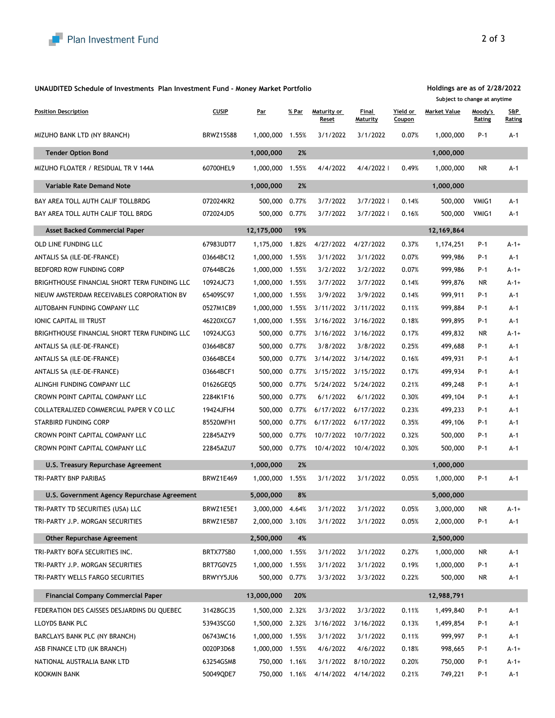| TRI-PARTY WELLS FARGO SECURITIES |  |
|----------------------------------|--|
|----------------------------------|--|

BRWYY5JU6 500,000 0.77% 3/3/2022 3/3/2022 0.22% 500,000 NR A-1



|                                              |                  |            |       |                      |                   |                           | Subject to change at anytime |                   |               |
|----------------------------------------------|------------------|------------|-------|----------------------|-------------------|---------------------------|------------------------------|-------------------|---------------|
| <b>Position Description</b>                  | <b>CUSIP</b>     | <u>Par</u> | % Par | Maturity or<br>Reset | Final<br>Maturity | Yield or<br><b>Coupon</b> | <b>Market Value</b>          | Moody's<br>Rating | S&P<br>Rating |
| MIZUHO BANK LTD (NY BRANCH)                  | <b>BRWZ15S88</b> | 1,000,000  | 1.55% | 3/1/2022             | 3/1/2022          | 0.07%                     | 1,000,000                    | $P-1$             | $A-1$         |
| <b>Tender Option Bond</b>                    |                  | 1,000,000  | 2%    |                      |                   |                           | 1,000,000                    |                   |               |
| MIZUHO FLOATER / RESIDUAL TR V 144A          | 60700HEL9        | 1,000,000  | 1.55% | 4/4/2022             | 4/4/2022          | 0.49%                     | 1,000,000                    | <b>NR</b>         | $A-1$         |
| <b>Variable Rate Demand Note</b>             |                  | 1,000,000  | 2%    |                      |                   |                           | 1,000,000                    |                   |               |
| BAY AREA TOLL AUTH CALIF TOLLBRDG            | 072024KR2        | 500,000    | 0.77% | 3/7/2022             | 3/7/2022          | 0.14%                     | 500,000                      | VMIG1             | $A-1$         |
| BAY AREA TOLL AUTH CALIF TOLL BRDG           | 072024JD5        | 500,000    | 0.77% | 3/7/2022             | 3/7/2022          | 0.16%                     | 500,000                      | VMIG1             | $A-1$         |
| <b>Asset Backed Commercial Paper</b>         |                  | 12,175,000 | 19%   |                      |                   |                           | 12,169,864                   |                   |               |
| OLD LINE FUNDING LLC                         | 67983UDT7        | 1,175,000  | 1.82% | 4/27/2022            | 4/27/2022         | 0.37%                     | 1,174,251                    | $P-1$             | $A-1+$        |
| ANTALIS SA (ILE-DE-FRANCE)                   | 03664BC12        | 1,000,000  | 1.55% | 3/1/2022             | 3/1/2022          | 0.07%                     | 999,986                      | $P-1$             | $A-1$         |
| BEDFORD ROW FUNDING CORP                     | 07644BC26        | 1,000,000  | 1.55% | 3/2/2022             | 3/2/2022          | 0.07%                     | 999,986                      | $P-1$             | $A-1+$        |
| BRIGHTHOUSE FINANCIAL SHORT TERM FUNDING LLC | 10924JC73        | 1,000,000  | 1.55% | 3/7/2022             | 3/7/2022          | 0.14%                     | 999,876                      | <b>NR</b>         | $A-1+$        |
| NIEUW AMSTERDAM RECEIVABLES CORPORATION BV   | 65409SC97        | 1,000,000  | 1.55% | 3/9/2022             | 3/9/2022          | 0.14%                     | 999,911                      | $P-1$             | $A-1$         |
| AUTOBAHN FUNDING COMPANY LLC                 | 0527M1CB9        | 1,000,000  | 1.55% | 3/11/2022            | 3/11/2022         | 0.11%                     | 999,884                      | $P-1$             | $A-1$         |
| <b>IONIC CAPITAL III TRUST</b>               | 46220XCG7        | 1,000,000  | 1.55% | 3/16/2022            | 3/16/2022         | 0.18%                     | 999,895                      | $P-1$             | $A-1$         |
| BRIGHTHOUSE FINANCIAL SHORT TERM FUNDING LLC | 10924JCG3        | 500,000    | 0.77% | 3/16/2022            | 3/16/2022         | 0.17%                     | 499,832                      | <b>NR</b>         | $A-1+$        |
| ANTALIS SA (ILE-DE-FRANCE)                   | 03664BC87        | 500,000    | 0.77% | 3/8/2022             | 3/8/2022          | 0.25%                     | 499,688                      | $P-1$             | $A-1$         |
| ANTALIS SA (ILE-DE-FRANCE)                   | 03664BCE4        | 500,000    | 0.77% | 3/14/2022            | 3/14/2022         | 0.16%                     | 499,931                      | $P-1$             | $A-1$         |
| ANTALIS SA (ILE-DE-FRANCE)                   | 03664BCF1        | 500,000    | 0.77% | 3/15/2022            | 3/15/2022         | 0.17%                     | 499,934                      | $P-1$             | $A-1$         |
| ALINGHI FUNDING COMPANY LLC                  | 01626GEQ5        | 500,000    | 0.77% | 5/24/2022            | 5/24/2022         | 0.21%                     | 499,248                      | $P-1$             | $A-1$         |
| CROWN POINT CAPITAL COMPANY LLC              | 2284K1F16        | 500,000    | 0.77% | 6/1/2022             | 6/1/2022          | 0.30%                     | 499,104                      | $P-1$             | $A-1$         |
| COLLATERALIZED COMMERCIAL PAPER V CO LLC     | 19424JFH4        | 500,000    | 0.77% | 6/17/2022            | 6/17/2022         | 0.23%                     | 499,233                      | $P-1$             | $A-1$         |
| <b>STARBIRD FUNDING CORP</b>                 | 85520MFH1        | 500,000    | 0.77% | 6/17/2022            | 6/17/2022         | 0.35%                     | 499,106                      | $P-1$             | $A-1$         |
| CROWN POINT CAPITAL COMPANY LLC              | 22845AZY9        | 500,000    | 0.77% | 10/7/2022            | 10/7/2022         | 0.32%                     | 500,000                      | $P-1$             | $A-1$         |
| CROWN POINT CAPITAL COMPANY LLC              | 22845AZU7        | 500,000    | 0.77% | 10/4/2022            | 10/4/2022         | 0.30%                     | 500,000                      | $P-1$             | $A-1$         |
| <b>U.S. Treasury Repurchase Agreement</b>    |                  | 1,000,000  | 2%    |                      |                   |                           | 1,000,000                    |                   |               |
| TRI-PARTY BNP PARIBAS                        | BRWZ1E469        | 1,000,000  | 1.55% | 3/1/2022             | 3/1/2022          | 0.05%                     | 1,000,000                    | $P-1$             | $A-1$         |
| U.S. Government Agency Repurchase Agreement  |                  | 5,000,000  | 8%    |                      |                   |                           | 5,000,000                    |                   |               |
| TRI-PARTY TD SECURITIES (USA) LLC            | BRWZ1E5E1        | 3,000,000  | 4.64% | 3/1/2022             | 3/1/2022          | 0.05%                     | 3,000,000                    | <b>NR</b>         | $A - 1 +$     |
| TRI-PARTY J.P. MORGAN SECURITIES             | BRWZ1E5B7        | 2,000,000  | 3.10% | 3/1/2022             | 3/1/2022          | 0.05%                     | 2,000,000                    | $P-1$             | $A-1$         |
| <b>Other Repurchase Agreement</b>            |                  | 2,500,000  | 4%    |                      |                   |                           | 2,500,000                    |                   |               |
| TRI-PARTY BOFA SECURITIES INC.               | BRTX77SB0        | 1,000,000  | 1.55% | 3/1/2022             | 3/1/2022          | 0.27%                     | 1,000,000                    | <b>NR</b>         | $A-1$         |
| TRI-PARTY J.P. MORGAN SECURITIES             | BRT7G0VZ5        | 1,000,000  | 1.55% | 3/1/2022             | 3/1/2022          | 0.19%                     | 1,000,000                    | $P-1$             | $A-1$         |

| <b>Financial Company Commercial Paper</b>   |           | 13,000,000  | 20%   |           |           |       | 12,988,791 |       |        |
|---------------------------------------------|-----------|-------------|-------|-----------|-----------|-------|------------|-------|--------|
| FEDERATION DES CAISSES DESJARDINS DU QUEBEC | 31428GC35 | 1,500,000   | 2.32% | 3/3/2022  | 3/3/2022  | 0.11% | 1,499,840  | $P-1$ | A-1    |
| LLOYDS BANK PLC                             | 53943SCG0 | :000,000, ا | 2.32% | 3/16/2022 | 3/16/2022 | 0.13% | ,499,854   | $P-1$ | A-1    |
| <b>BARCLAYS BANK PLC (NY BRANCH)</b>        | 06743MC16 | 1,000,000   | .55%  | 3/1/2022  | 3/1/2022  | 0.11% | 999,997    | $P-1$ | A-1    |
| ASB FINANCE LTD (UK BRANCH)                 | 0020P3D68 | 1,000,000   | .55%  | 4/6/2022  | 4/6/2022  | 0.18% | 998,665    | $P-1$ | $A-1+$ |
| NATIONAL AUSTRALIA BANK LTD                 | 63254GSM8 | 750,000     | 1.16% | 3/1/2022  | 8/10/2022 | 0.20% | 750,000    | $P-1$ | $A-1+$ |
| KOOKMIN BANK                                | 50049QDE7 | 750,000     | 1.16% | 4/14/2022 | 4/14/2022 | 0.21% | 749,221    | $P-1$ | A-1    |